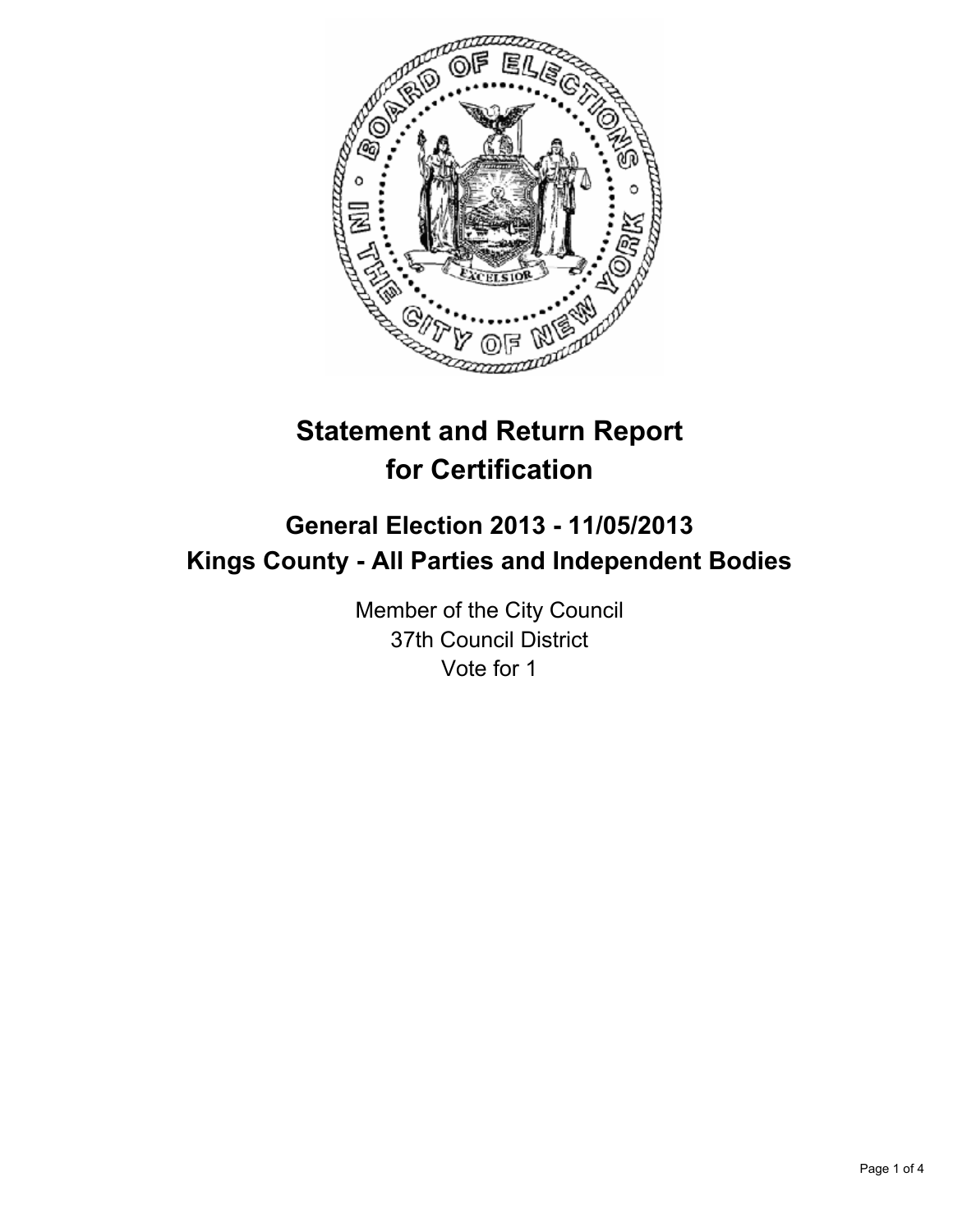

# **Statement and Return Report for Certification**

## **General Election 2013 - 11/05/2013 Kings County - All Parties and Independent Bodies**

Member of the City Council 37th Council District Vote for 1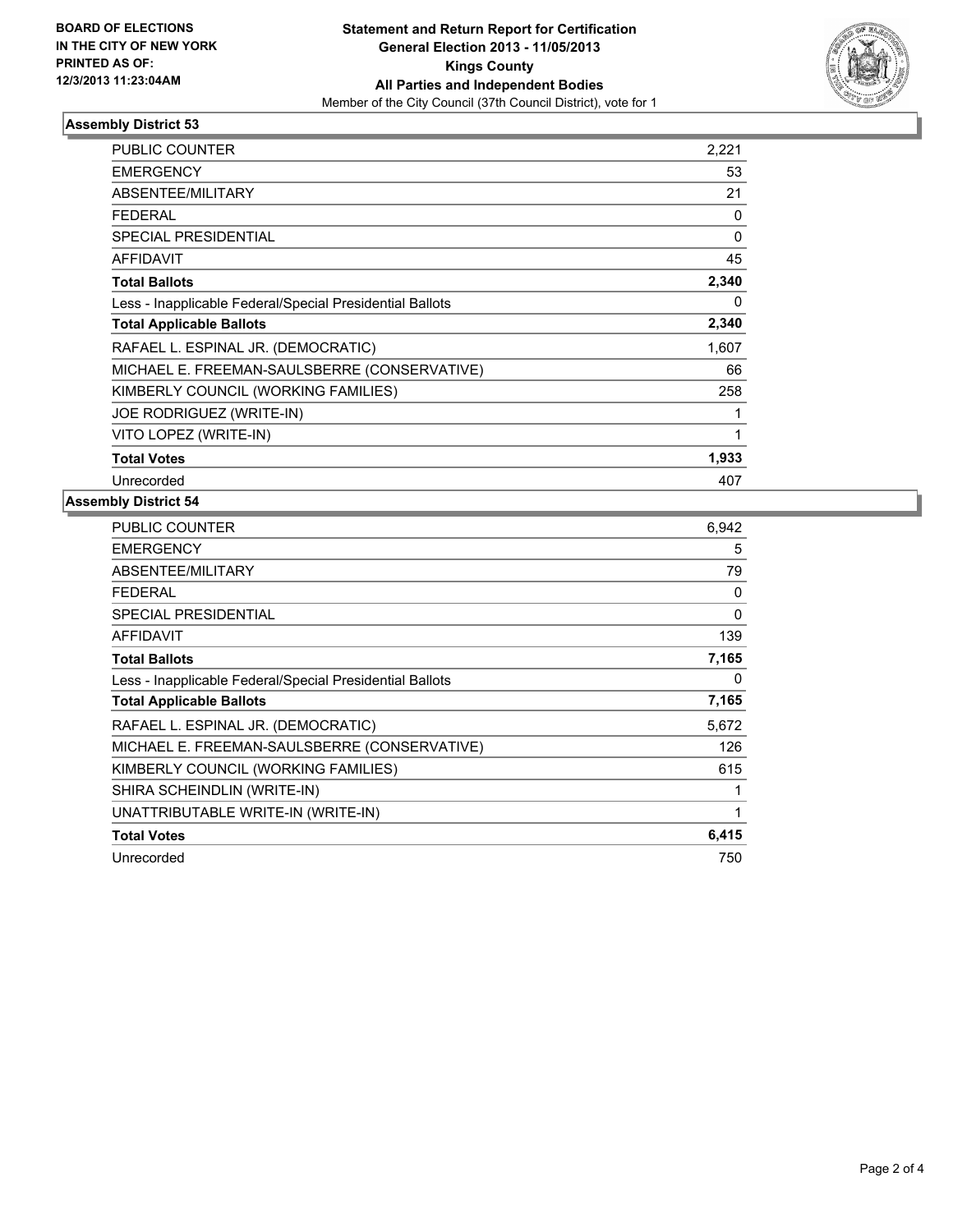

### **Assembly District 53**

| <b>PUBLIC COUNTER</b>                                    | 2,221    |
|----------------------------------------------------------|----------|
| <b>EMERGENCY</b>                                         | 53       |
| ABSENTEE/MILITARY                                        | 21       |
| <b>FEDERAL</b>                                           | 0        |
| SPECIAL PRESIDENTIAL                                     | 0        |
| <b>AFFIDAVIT</b>                                         | 45       |
| <b>Total Ballots</b>                                     | 2,340    |
| Less - Inapplicable Federal/Special Presidential Ballots | $\Omega$ |
| <b>Total Applicable Ballots</b>                          | 2,340    |
| RAFAEL L. ESPINAL JR. (DEMOCRATIC)                       | 1,607    |
| MICHAEL E. FREEMAN-SAULSBERRE (CONSERVATIVE)             | 66       |
| KIMBERLY COUNCIL (WORKING FAMILIES)                      | 258      |
| JOE RODRIGUEZ (WRITE-IN)                                 | 1        |
| VITO LOPEZ (WRITE-IN)                                    | 1        |
| <b>Total Votes</b>                                       | 1,933    |
| Unrecorded                                               | 407      |

#### **Assembly District 54**

| <b>PUBLIC COUNTER</b>                                    | 6.942 |
|----------------------------------------------------------|-------|
| <b>EMERGENCY</b>                                         | 5     |
| ABSENTEE/MILITARY                                        | 79    |
| <b>FEDERAL</b>                                           | 0     |
| <b>SPECIAL PRESIDENTIAL</b>                              | 0     |
| AFFIDAVIT                                                | 139   |
| <b>Total Ballots</b>                                     | 7,165 |
| Less - Inapplicable Federal/Special Presidential Ballots | 0     |
| <b>Total Applicable Ballots</b>                          | 7,165 |
| RAFAEL L. ESPINAL JR. (DEMOCRATIC)                       | 5,672 |
| MICHAEL E. FREEMAN-SAULSBERRE (CONSERVATIVE)             | 126   |
| KIMBERLY COUNCIL (WORKING FAMILIES)                      | 615   |
| SHIRA SCHEINDLIN (WRITE-IN)                              | 1     |
| UNATTRIBUTABLE WRITE-IN (WRITE-IN)                       | 1     |
| <b>Total Votes</b>                                       | 6,415 |
| Unrecorded                                               | 750   |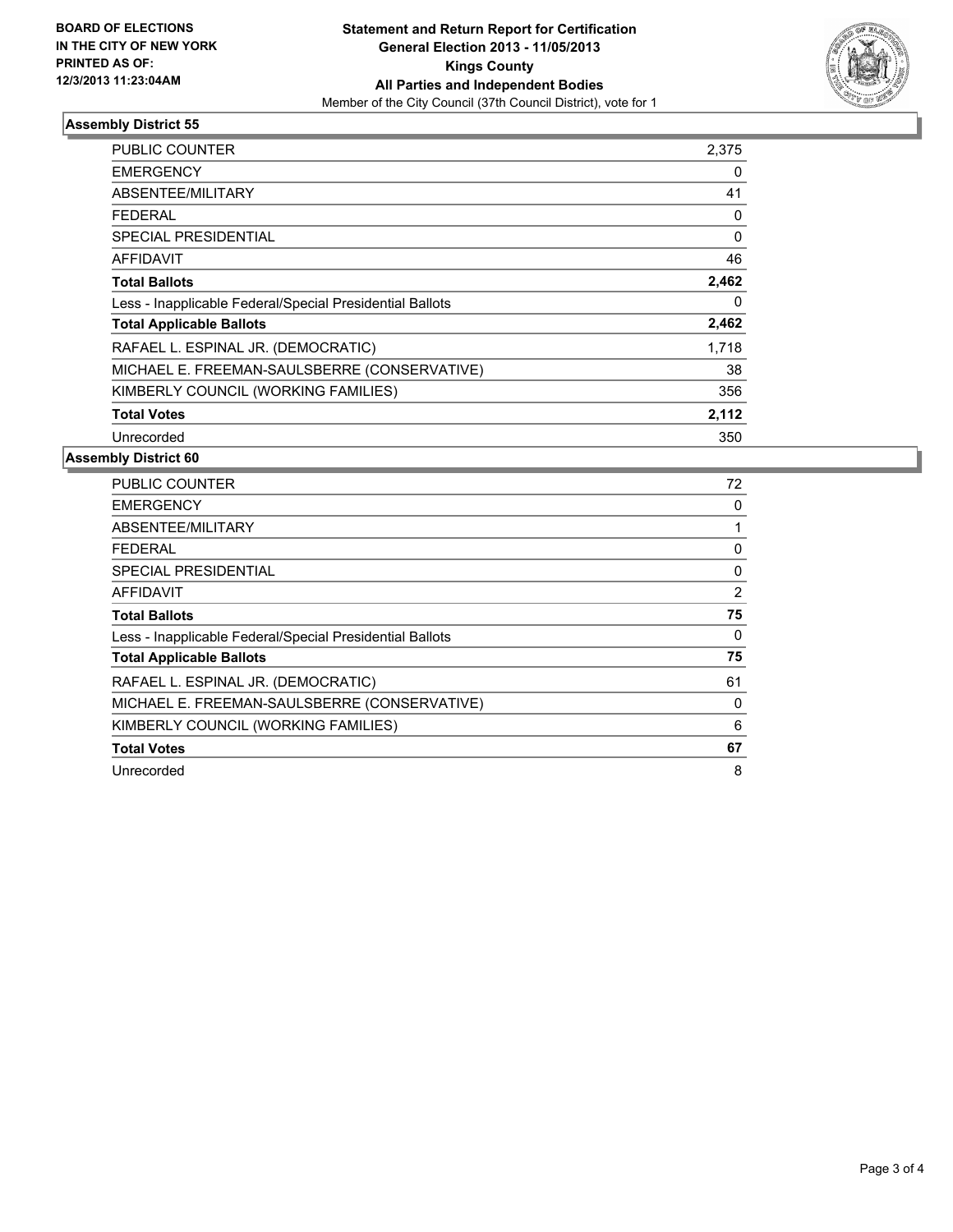

#### **Assembly District 55**

| PUBLIC COUNTER                                           | 2,375    |
|----------------------------------------------------------|----------|
| <b>EMERGENCY</b>                                         | 0        |
| ABSENTEE/MILITARY                                        | 41       |
| FEDERAL                                                  | 0        |
| SPECIAL PRESIDENTIAL                                     | $\Omega$ |
| <b>AFFIDAVIT</b>                                         | 46       |
| <b>Total Ballots</b>                                     | 2,462    |
| Less - Inapplicable Federal/Special Presidential Ballots | 0        |
| <b>Total Applicable Ballots</b>                          | 2,462    |
| RAFAEL L. ESPINAL JR. (DEMOCRATIC)                       | 1,718    |
| MICHAEL E. FREEMAN-SAULSBERRE (CONSERVATIVE)             | 38       |
| KIMBERLY COUNCIL (WORKING FAMILIES)                      | 356      |
| <b>Total Votes</b>                                       | 2,112    |
| Unrecorded                                               | 350      |

#### **Assembly District 60**

| <b>PUBLIC COUNTER</b>                                    | 72 |
|----------------------------------------------------------|----|
| <b>EMERGENCY</b>                                         | 0  |
| ABSENTEE/MILITARY                                        |    |
| FEDERAL                                                  | 0  |
| SPECIAL PRESIDENTIAL                                     | 0  |
| AFFIDAVIT                                                | 2  |
| <b>Total Ballots</b>                                     | 75 |
| Less - Inapplicable Federal/Special Presidential Ballots | 0  |
| <b>Total Applicable Ballots</b>                          | 75 |
| RAFAEL L. ESPINAL JR. (DEMOCRATIC)                       | 61 |
| MICHAEL E. FREEMAN-SAULSBERRE (CONSERVATIVE)             | 0  |
| KIMBERLY COUNCIL (WORKING FAMILIES)                      | 6  |
| <b>Total Votes</b>                                       | 67 |
| Unrecorded                                               | 8  |